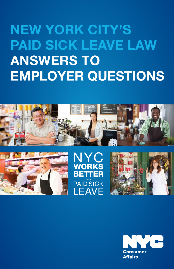# NEW YORK CITY'S PAID SICK LEAVE LAW ANSWERS TO EMPLOYER QUESTIONS









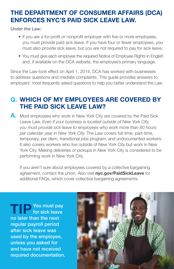# THE DEPARTMENT OF CONSUMER AFFAIRS (DCA) ENFORCES NYC'S PAID SICK LEAVE LAW.

Under the Law:

- If you are a for-profit or nonprofit employer with five or more employees, you must provide paid sick leave. If you have four or fewer employees, you must also provide sick leave, but you are not required to pay for sick leave.
- You must give each employee the required Notice of Employee Rights in English and, if available on the DCA website, the employee's primary language.

Since the Law took effect on April 1, 2014, DCA has worked with businesses to address questions and mediate complaints. This guide provides answers to employers' most frequently asked questions to help you better understand the Law.

# Q. WHICH OF MY EMPLOYEES ARE COVERED BY THE PAID SICK LEAVE LAW?

A. Most employees who work in New York City are covered by the Paid Sick Leave Law. *Even if your business is located outside of New York City, you must provide sick leave to employees who work more than 80 hours per calendar year in New York City.* The Law covers full-time, part-time, temporary, per diem, transitional jobs program, and undocumented workers. It also covers workers who live outside of New York City but work in New York City. Making deliveries or pickups in New York City is considered to be performing work in New York City.

If you aren't sure about employees covered by a collective bargaining agreement, contact the union. Also visit nyc.gov/PaidSickLeave for additional FAQs, which cover collective bargaining agreements.

**TIP** You must pay for sick leave no later than the next regular payroll period after sick leave was used by the employee, unless you asked for and have not received required documentation.

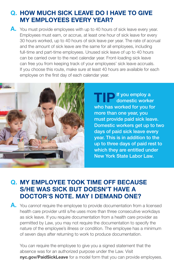#### Q. HOW MUCH SICK LEAVE DO I HAVE TO GIVE MY EMPLOYEES EVERY YEAR?

A. You must provide employees with up to 40 hours of sick leave every year. Employees must earn, or accrue, at least one hour of sick leave for every 30 hours worked, up to 40 hours of sick leave per year. The rate of accrual and the amount of sick leave are the same for all employees, including full-time and part-time employees. Unused sick leave of up to 40 hours can be carried over to the next calendar year. Front-loading sick leave can free you from keeping track of your employees' sick leave accruals. If you choose this route, make sure at least 40 hours are available for each employee on the first day of each calendar year.



If you employ a domestic worker who has worked for you for more than one year, you must provide paid sick leave. Domestic workers get up to two days of paid sick leave every year. This is in addition to the up to three days of paid rest to which they are entitled under New York State Labor Law.

#### Q. MY EMPLOYEE TOOK TIME OFF BECAUSE S/HE WAS SICK BUT DOESN'T HAVE A DOCTOR'S NOTE. MAY I DEMAND ONE?

A. You *cannot* require the employee to provide documentation from a licensed health care provider until s/he uses more than three consecutive workdays as sick leave. If you require documentation from a health care provider as permitted by Law, you may not require the documentation to specify the nature of the employee's illness or condition. The employee has a minimum of seven days after returning to work to produce documentation.

You *can* require the employee to give you a signed statement that the absence was for an authorized purpose under the Law. Visit nyc.gov/PaidSickLeave for a model form that you can provide employees.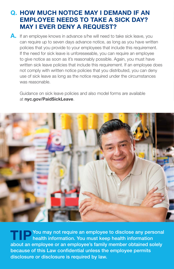#### Q. HOW MUCH NOTICE MAY I DEMAND IF AN EMPLOYEE NEEDS TO TAKE A SICK DAY? MAY I EVER DENY A REQUEST?

A. If an employee knows in advance s/he will need to take sick leave, you can require up to seven days advance notice, as long as you have written policies that you provide to your employees that include this requirement. If the need for sick leave is unforeseeable, you can require an employee to give notice as soon as it's reasonably possible. Again, you must have written sick leave policies that include this requirement. If an employee does not comply with written notice policies that you distributed, you can deny use of sick leave as long as the notice required under the circumstances was reasonable.

Guidance on sick leave policies and also model forms are available at nyc.gov/PaidSickLeave.



**TIP You may not require an employee to disclose any personal** health information. You must keep health information about an employee or an employee's family member obtained solely because of this Law confidential unless the employee permits disclosure or disclosure is required by law.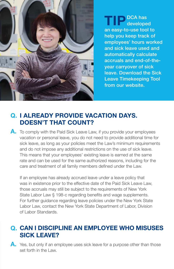

TIP DCA has developed an easy-to-use tool to help you keep track of employees' hours worked and sick leave used and automatically calculate accruals and end-of-theyear carryover of sick leave. Download the Sick Leave Timekeeping Tool from our website.

### Q. I ALREADY PROVIDE VACATION DAYS. DOESN'T THAT COUNT?

A. To comply with the Paid Sick Leave Law, if you provide your employees vacation or personal leave, you do not need to provide additional time for sick leave, as long as your policies meet the Law's minimum requirements and do not impose any additional restrictions on the use of sick leave. This means that your employees' existing leave is earned at the same rate and can be used for the same authorized reasons, including for the care and treatment of all family members defined under the Law.

If an employee has already accrued leave under a leave policy that was in existence prior to the effective date of the Paid Sick Leave Law, those accruals may still be subject to the requirements of New York State Labor Law § 198-c regarding benefits and wage supplements. For further guidance regarding leave policies under the New York State Labor Law, contact the New York State Department of Labor, Division of Labor Standards.

### Q. CAN I DISCIPLINE AN EMPLOYEE WHO MISUSES SICK LEAVE?

A. Yes, but only if an employee uses sick leave for a purpose other than those set forth in the Law.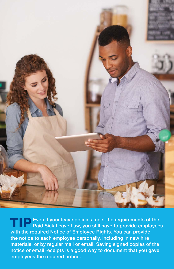

**TIP Even if your leave policies meet the requirements of the Paid Sick Leave Law, you still have to provide employees** with the required Notice of Employee Rights. You can provide the notice to each employee personally, including in new hire materials, or by regular mail or email. Saving signed copies of the notice or email receipts is a good way to document that you gave employees the required notice.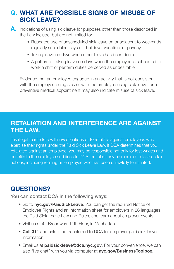### WHAT ARE POSSIBLE SIGNS OF MISUSE OF Q. SICK LEAVE?

- A. Indications of using sick leave for purposes other than those described in the Law include, but are not limited to:
	- Repeated use of unscheduled sick leave on or adjacent to weekends, regularly scheduled days off, holidays, vacation, or payday
	- Taking leave on days when other leave has been denied
	- A pattern of taking leave on days when the employee is scheduled to work a shift or perform duties perceived as undesirable

Evidence that an employee engaged in an activity that is not consistent with the employee being sick or with the employee using sick leave for a preventive medical appointment may also indicate misuse of sick leave.

### RETALIATION AND INTERFERENCE ARE AGAINST THE LAW.

It is illegal to interfere with investigations or to retaliate against employees who exercise their rights under the Paid Sick Leave Law. If DCA determines that you retaliated against an employee, you may be responsible not only for lost wages and benefits to the employee and fines to DCA, but also may be required to take certain actions, including rehiring an employee who has been unlawfully terminated.

# QUESTIONS?

You can contact DCA in the following ways:

- Go to nyc.gov/PaidSickLeave. You can get the required Notice of Employee Rights and an information sheet for employers in 26 languages, the Paid Sick Leave Law and Rules, and learn about employer events.
- Visit us at 42 Broadway, 11th Floor, in Manhattan.
- Call 311 and ask to be transferred to DCA for employer paid sick leave information.
- Email us at **paidsickleave@dca.nyc.gov**. For your convenience, we can also "live chat" with you via computer at nyc.gov/BusinessToolbox.